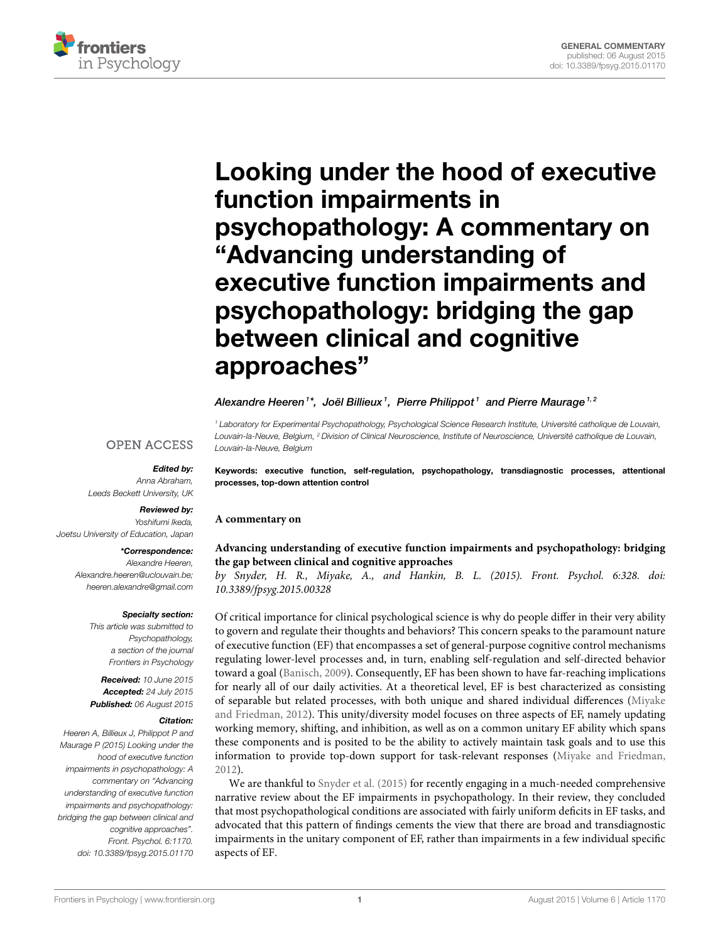

Looking under the hood of executive function impairments in [psychopathology: A commentary on](http://journal.frontiersin.org/article/10.3389/fpsyg.2015.01170/full) "Advancing understanding of executive function impairments and psychopathology: bridging the gap between clinical and cognitive approaches"

### [Alexandre Heeren](http://loop.frontiersin.org/people/35179/overview)<sup>1\*</sup>, [Joël Billieux](http://loop.frontiersin.org/people/130755/overview)<sup>1</sup>, [Pierre Philippot](http://loop.frontiersin.org/people/72432/overview)<sup>1</sup> and [Pierre Maurage](http://loop.frontiersin.org/people/12262/overview)<sup>1,2</sup>

<sup>1</sup> Laboratory for Experimental Psychopathology, Psychological Science Research Institute, Université catholique de Louvain, Louvain-la-Neuve, Belgium, <sup>2</sup> Division of Clinical Neuroscience, Institute of Neuroscience, Université catholique de Louvain, Louvain-la-Neuve, Belgium

**OPEN ACCESS** 

## Edited by:

Anna Abraham, Leeds Beckett University, UK

#### Reviewed by:

Yoshifumi Ikeda, Joetsu University of Education, Japan

#### \*Correspondence:

Alexandre Heeren, [Alexandre.heeren@uclouvain.be;](mailto:Alexandre.heeren@uclouvain.be) [heeren.alexandre@gmail.com](mailto:heeren.alexandre@gmail.com)

#### Specialty section:

This article was submitted to Psychopathology, a section of the journal Frontiers in Psychology

Received: 10 June 2015 Accepted: 24 July 2015 Published: 06 August 2015

#### Citation:

Heeren A, Billieux J, Philippot P and Maurage P (2015) Looking under the hood of executive function impairments in psychopathology: A commentary on "Advancing understanding of executive function impairments and psychopathology: bridging the gap between clinical and cognitive approaches". Front. Psychol. 6:1170. doi: [10.3389/fpsyg.2015.01170](http://dx.doi.org/10.3389/fpsyg.2015.01170)

Keywords: executive function, self-regulation, psychopathology, transdiagnostic processes, attentional processes, top-down attention control

#### **A commentary on**

### **[Advancing understanding of executive function impairments and psychopathology: bridging](http://journal.frontiersin.org/article/10.3389/fpsyg.2015.00328/abstract) the gap between clinical and cognitive approaches**

by Snyder, H. R., Miyake, A., and Hankin, B. L. (2015). Front. Psychol. 6:328. doi: 10.3389/fpsyg.2015.00328

Of critical importance for clinical psychological science is why do people differ in their very ability to govern and regulate their thoughts and behaviors? This concern speaks to the paramount nature of executive function (EF) that encompasses a set of general-purpose cognitive control mechanisms regulating lower-level processes and, in turn, enabling self-regulation and self-directed behavior toward a goal [\(Banisch, 2009\)](#page-1-0). Consequently, EF has been shown to have far-reaching implications for nearly all of our daily activities. At a theoretical level, EF is best characterized as consisting of separable but related processes, with both unique and shared individual differences (Miyake and Friedman, [2012\)](#page-2-0). This unity/diversity model focuses on three aspects of EF, namely updating working memory, shifting, and inhibition, as well as on a common unitary EF ability which spans these components and is posited to be the ability to actively maintain task goals and to use this information to provide top-down support for task-relevant responses [\(Miyake and Friedman,](#page-2-0) [2012\)](#page-2-0).

We are thankful to [Snyder et al. \(2015\)](#page-2-1) for recently engaging in a much-needed comprehensive narrative review about the EF impairments in psychopathology. In their review, they concluded that most psychopathological conditions are associated with fairly uniform deficits in EF tasks, and advocated that this pattern of findings cements the view that there are broad and transdiagnostic impairments in the unitary component of EF, rather than impairments in a few individual specific aspects of EF.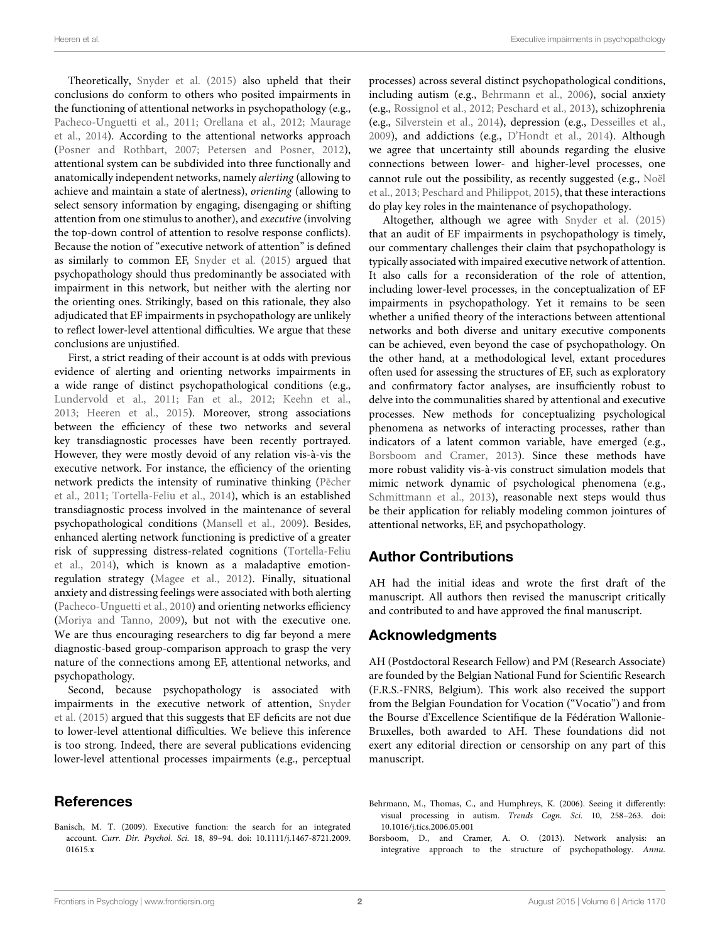Theoretically, [Snyder et al. \(2015\)](#page-2-1) also upheld that their conclusions do conform to others who posited impairments in the functioning of attentional networks in psychopathology (e.g., [Pacheco-Unguetti et al., 2011;](#page-2-2) [Orellana et al., 2012;](#page-2-3) Maurage et al., [2014\)](#page-2-4). According to the attentional networks approach [\(Posner and Rothbart, 2007;](#page-2-5) [Petersen and Posner, 2012\)](#page-2-6), attentional system can be subdivided into three functionally and anatomically independent networks, namely alerting (allowing to achieve and maintain a state of alertness), orienting (allowing to select sensory information by engaging, disengaging or shifting attention from one stimulus to another), and executive (involving the top-down control of attention to resolve response conflicts). Because the notion of "executive network of attention" is defined as similarly to common EF, [Snyder et al. \(2015\)](#page-2-1) argued that psychopathology should thus predominantly be associated with impairment in this network, but neither with the alerting nor the orienting ones. Strikingly, based on this rationale, they also adjudicated that EF impairments in psychopathology are unlikely to reflect lower-level attentional difficulties. We argue that these conclusions are unjustified.

First, a strict reading of their account is at odds with previous evidence of alerting and orienting networks impairments in a wide range of distinct psychopathological conditions (e.g., [Lundervold et al., 2011;](#page-2-7) [Fan et al., 2012;](#page-2-8) [Keehn et al.,](#page-2-9) [2013;](#page-2-9) [Heeren et al., 2015\)](#page-2-10). Moreover, strong associations between the efficiency of these two networks and several key transdiagnostic processes have been recently portrayed. However, they were mostly devoid of any relation vis-à-vis the executive network. For instance, the efficiency of the orienting network predicts the intensity of ruminative thinking (Pécher et al., [2011;](#page-2-11) [Tortella-Feliu et al., 2014\)](#page-2-12), which is an established transdiagnostic process involved in the maintenance of several psychopathological conditions [\(Mansell et al., 2009\)](#page-2-13). Besides, enhanced alerting network functioning is predictive of a greater risk of suppressing distress-related cognitions (Tortella-Feliu et al., [2014\)](#page-2-12), which is known as a maladaptive emotionregulation strategy [\(Magee et al., 2012\)](#page-2-14). Finally, situational anxiety and distressing feelings were associated with both alerting [\(Pacheco-Unguetti et al., 2010\)](#page-2-15) and orienting networks efficiency [\(Moriya and Tanno, 2009\)](#page-2-16), but not with the executive one. We are thus encouraging researchers to dig far beyond a mere diagnostic-based group-comparison approach to grasp the very nature of the connections among EF, attentional networks, and psychopathology.

Second, because psychopathology is associated with impairments in the executive network of attention, Snyder et al. [\(2015\)](#page-2-1) argued that this suggests that EF deficits are not due to lower-level attentional difficulties. We believe this inference is too strong. Indeed, there are several publications evidencing lower-level attentional processes impairments (e.g., perceptual

## **References**

<span id="page-1-0"></span>Banisch, M. T. (2009). Executive function: the search for an integrated account. Curr. Dir. Psychol. Sci. 18, 89–94. doi: 10.1111/j.1467-8721.2009. 01615.x

processes) across several distinct psychopathological conditions, including autism (e.g., [Behrmann et al., 2006\)](#page-1-1), social anxiety (e.g., [Rossignol et al., 2012;](#page-2-17) [Peschard et al., 2013\)](#page-2-18), schizophrenia (e.g., [Silverstein et al., 2014\)](#page-2-19), depression (e.g., [Desseilles et al.,](#page-2-20) [2009\)](#page-2-20), and addictions (e.g., [D'Hondt et al., 2014\)](#page-2-21). Although we agree that uncertainty still abounds regarding the elusive connections between lower- and higher-level processes, one cannot rule out the possibility, as recently suggested (e.g., Noël et al., [2013;](#page-2-22) [Peschard and Philippot, 2015\)](#page-2-23), that these interactions do play key roles in the maintenance of psychopathology.

Altogether, although we agree with [Snyder et al. \(2015\)](#page-2-1) that an audit of EF impairments in psychopathology is timely, our commentary challenges their claim that psychopathology is typically associated with impaired executive network of attention. It also calls for a reconsideration of the role of attention, including lower-level processes, in the conceptualization of EF impairments in psychopathology. Yet it remains to be seen whether a unified theory of the interactions between attentional networks and both diverse and unitary executive components can be achieved, even beyond the case of psychopathology. On the other hand, at a methodological level, extant procedures often used for assessing the structures of EF, such as exploratory and confirmatory factor analyses, are insufficiently robust to delve into the communalities shared by attentional and executive processes. New methods for conceptualizing psychological phenomena as networks of interacting processes, rather than indicators of a latent common variable, have emerged (e.g., [Borsboom and Cramer, 2013\)](#page-1-2). Since these methods have more robust validity vis-à-vis construct simulation models that mimic network dynamic of psychological phenomena (e.g., [Schmittmann et al., 2013\)](#page-2-24), reasonable next steps would thus be their application for reliably modeling common jointures of attentional networks, EF, and psychopathology.

# Author Contributions

AH had the initial ideas and wrote the first draft of the manuscript. All authors then revised the manuscript critically and contributed to and have approved the final manuscript.

## Acknowledgments

AH (Postdoctoral Research Fellow) and PM (Research Associate) are founded by the Belgian National Fund for Scientific Research (F.R.S.-FNRS, Belgium). This work also received the support from the Belgian Foundation for Vocation ("Vocatio") and from the Bourse d'Excellence Scientifique de la Fédération Wallonie-Bruxelles, both awarded to AH. These foundations did not exert any editorial direction or censorship on any part of this manuscript.

<span id="page-1-1"></span>Behrmann, M., Thomas, C., and Humphreys, K. (2006). Seeing it differently: visual processing in autism. Trends Cogn. Sci. 10, 258–263. doi: 10.1016/j.tics.2006.05.001

<span id="page-1-2"></span>Borsboom, D., and Cramer, A. O. (2013). Network analysis: an integrative approach to the structure of psychopathology. Annu.